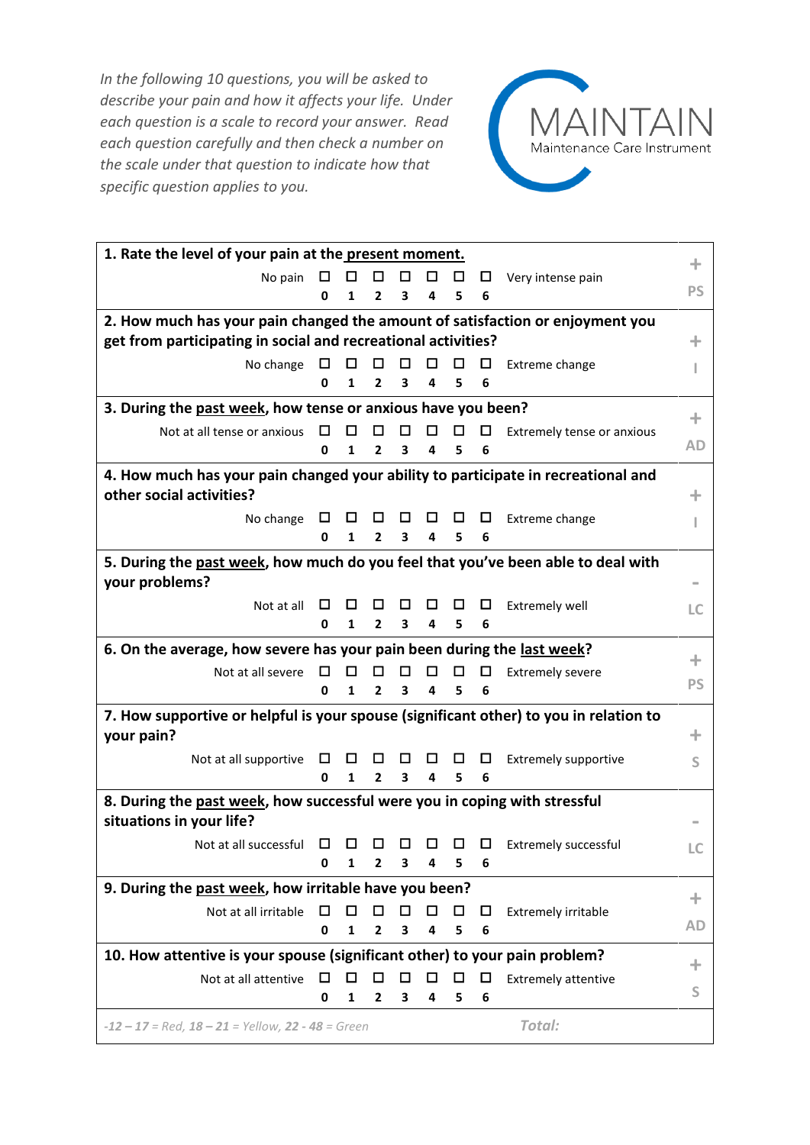*In the following 10 questions, you will be asked to describe your pain and how it affects your life. Under each question is a scale to record your answer. Read each question carefully and then check a number on the scale under that question to indicate how that specific question applies to you.*



| 1. Rate the level of your pain at the present moment.                                 |        |        |                |   |   |   |        | ÷                           |                |  |
|---------------------------------------------------------------------------------------|--------|--------|----------------|---|---|---|--------|-----------------------------|----------------|--|
| No pain                                                                               | $\Box$ | □      | □              | □ | □ | □ | □      | Very intense pain           |                |  |
|                                                                                       | 0      | 1      | $\mathbf{2}$   | 3 | 4 | 5 | 6      |                             | <b>PS</b>      |  |
| 2. How much has your pain changed the amount of satisfaction or enjoyment you         |        |        |                |   |   |   |        |                             |                |  |
| get from participating in social and recreational activities?                         |        |        |                |   |   |   |        | ÷                           |                |  |
| No change                                                                             | □      | □      | □              | □ | □ | □ | □      | Extreme change              | L              |  |
|                                                                                       | 0      | 1      | 2              | 3 | 4 | 5 | 6      |                             |                |  |
| 3. During the past week, how tense or anxious have you been?                          |        |        |                |   |   |   | ÷.     |                             |                |  |
| Not at all tense or anxious                                                           | □      | ப      | ப              | □ | □ | □ | $\Box$ | Extremely tense or anxious  |                |  |
|                                                                                       | 0      | 1      | 2              | 3 | 4 | 5 | 6      |                             | AD             |  |
| 4. How much has your pain changed your ability to participate in recreational and     |        |        |                |   |   |   |        |                             |                |  |
| other social activities?                                                              |        |        |                |   |   |   |        |                             | ÷              |  |
| No change                                                                             | □      | $\Box$ | □              | □ | □ | □ | □      | Extreme change              | ı              |  |
|                                                                                       | 0      | 1      | $\mathbf{2}$   | 3 | 4 | 5 | 6      |                             |                |  |
| 5. During the past week, how much do you feel that you've been able to deal with      |        |        |                |   |   |   |        |                             |                |  |
| your problems?                                                                        |        |        |                |   |   |   |        |                             |                |  |
| Not at all                                                                            | ш      | ப      | ப              | ப | ш | ப | $\Box$ | <b>Extremely well</b>       | LC             |  |
|                                                                                       | 0      | 1      | $\overline{2}$ | 3 | 4 | 5 | 6      |                             |                |  |
| 6. On the average, how severe has your pain been during the last week?                |        |        |                |   |   |   |        |                             |                |  |
| Not at all severe                                                                     | □      | □      | $\Box$         | □ | □ | □ | □      | <b>Extremely severe</b>     | ÷<br><b>PS</b> |  |
|                                                                                       | 0      | 1      | $\overline{2}$ | 3 | 4 | 5 | 6      |                             |                |  |
| 7. How supportive or helpful is your spouse (significant other) to you in relation to |        |        |                |   |   |   |        |                             |                |  |
| your pain?                                                                            |        |        |                |   |   |   |        |                             | ÷              |  |
| Not at all supportive                                                                 | □      | □      | ப              | ப | □ | ப | ப      | <b>Extremely supportive</b> | S              |  |
|                                                                                       | 0      | 1      | $\mathbf{2}$   | 3 | 4 | 5 | 6      |                             |                |  |
| 8. During the past week, how successful were you in coping with stressful             |        |        |                |   |   |   |        |                             |                |  |
| situations in your life?                                                              |        |        |                |   |   |   |        |                             |                |  |
| Not at all successful                                                                 | □      | □      |                |   | □ | □ | □      | <b>Extremely successful</b> | LС             |  |
|                                                                                       | 0      | 1      | 2              | 3 | 4 | 5 | 6      |                             |                |  |
| 9. During the past week, how irritable have you been?                                 |        |        |                |   |   |   |        | ÷.                          |                |  |
| Not at all irritable                                                                  | □      | ⊡      |                | П | ◘ | □ | □      | <b>Extremely irritable</b>  | AD             |  |
|                                                                                       | 0      | 1      | 2              | 3 | 4 | 5 | 6      |                             |                |  |
| 10. How attentive is your spouse (significant other) to your pain problem?            |        |        |                |   |   |   |        |                             |                |  |
| Not at all attentive                                                                  | □      | □      | □              | □ | □ | □ | □      | <b>Extremely attentive</b>  | ÷              |  |
|                                                                                       | 0      | 1      | 2              | 3 | 4 | 5 | 6      |                             | S              |  |
| Total:<br>$-12 - 17 = Red$ , $18 - 21 = Yellow$ , $22 - 48 = Green$                   |        |        |                |   |   |   |        |                             |                |  |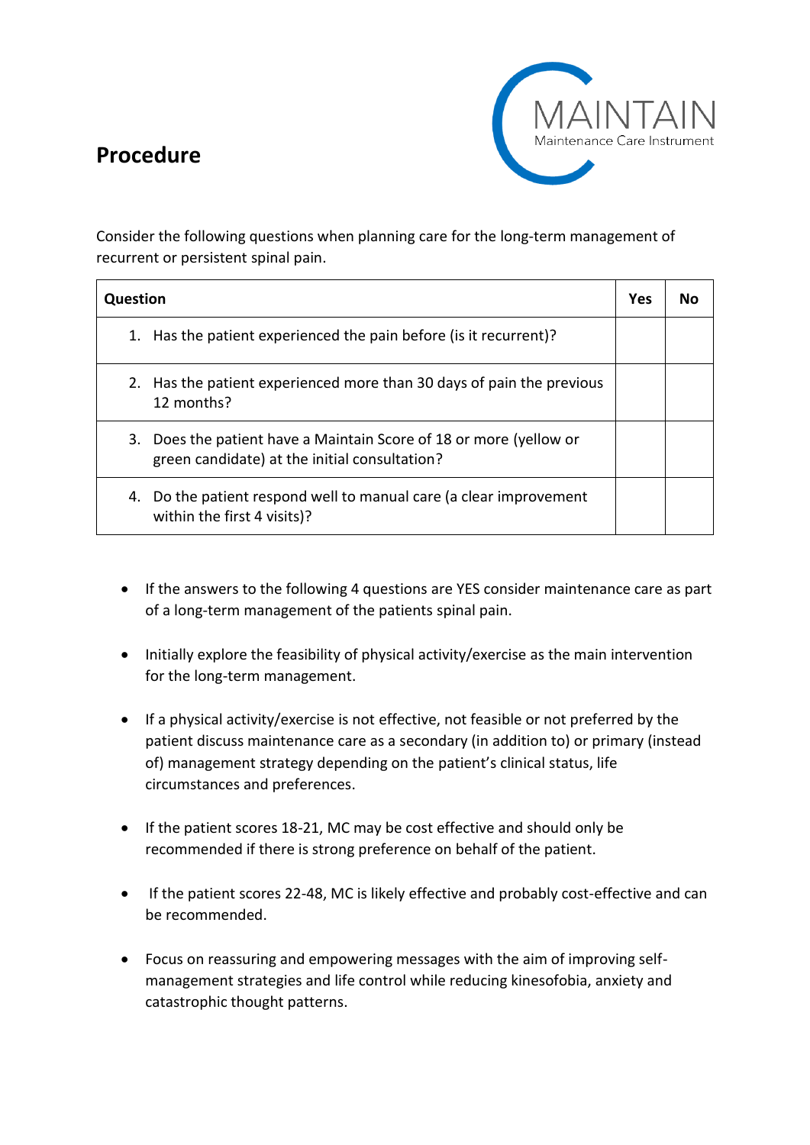## **Procedure**



Consider the following questions when planning care for the long-term management of recurrent or persistent spinal pain.

| Question                                                                                                               | Yes | Nο |
|------------------------------------------------------------------------------------------------------------------------|-----|----|
| Has the patient experienced the pain before (is it recurrent)?<br>1.                                                   |     |    |
| Has the patient experienced more than 30 days of pain the previous<br>2.<br>12 months?                                 |     |    |
| Does the patient have a Maintain Score of 18 or more (yellow or<br>3.<br>green candidate) at the initial consultation? |     |    |
| 4. Do the patient respond well to manual care (a clear improvement<br>within the first 4 visits)?                      |     |    |

- If the answers to the following 4 questions are YES consider maintenance care as part of a long-term management of the patients spinal pain.
- Initially explore the feasibility of physical activity/exercise as the main intervention for the long-term management.
- If a physical activity/exercise is not effective, not feasible or not preferred by the patient discuss maintenance care as a secondary (in addition to) or primary (instead of) management strategy depending on the patient's clinical status, life circumstances and preferences.
- If the patient scores 18-21, MC may be cost effective and should only be recommended if there is strong preference on behalf of the patient.
- If the patient scores 22-48, MC is likely effective and probably cost-effective and can be recommended.
- Focus on reassuring and empowering messages with the aim of improving selfmanagement strategies and life control while reducing kinesofobia, anxiety and catastrophic thought patterns.